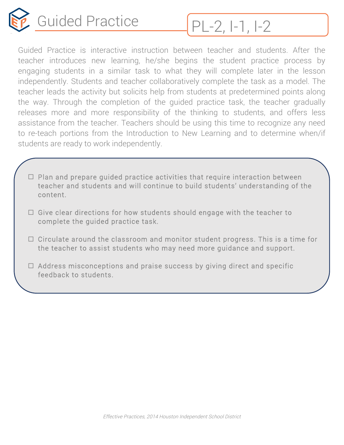

Guided Practice is interactive instruction between teacher and students. After the teacher introduces new learning, he/she begins the student practice process by engaging students in a similar task to what they will complete later in the lesson independently. Students and teacher collaboratively complete the task as a model. The teacher leads the activity but solicits help from students at predetermined points along the way. Through the completion of the guided practice task, the teacher gradually releases more and more responsibility of the thinking to students, and offers less assistance from the teacher. Teachers should be using this time to recognize any need to re-teach portions from the Introduction to New Learning and to determine when/if students are ready to work independently.

- $\Box$  Plan and prepare guided practice activities that require interaction between teacher and students and will continue to build students' understanding of the content.
- $\Box$  Give clear directions for how students should engage with the teacher to complete the guided practice task.
- $\Box$  Circulate around the classroom and monitor student progress. This is a time for the teacher to assist students who may need more guidance and support.
- $\Box$  Address misconceptions and praise success by giving direct and specific feedback to students.